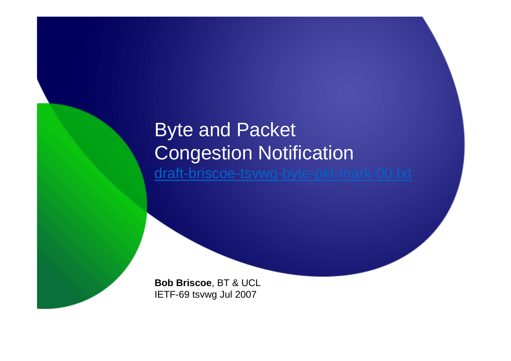## Byte and Packet Congestion Notificationdraft-briscoe-tsvwg-byte-pkt-mark-00.txt

**Bob Briscoe**, BT & UCLIETF-69 tsvwg Jul 2007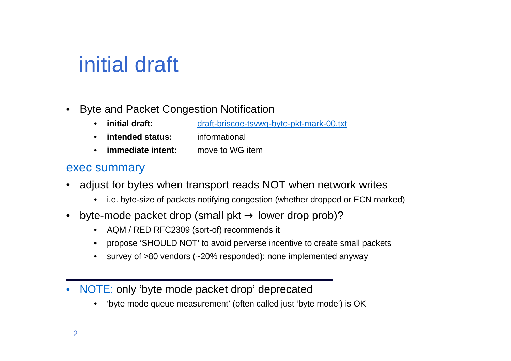# initial draft

- • Byte and Packet Congestion Notification
	- •**initial draft:** draft-briscoe-tsvwg-byte-pkt-mark-00.txt
	- •**intended status:** informational
	- •**immediate intent:** move to WG item

### exec summary

- • adjust for bytes when transport reads NOT when network writes
	- i.e. byte-size of packets notifying congestion (whether dropped or ECN marked)
- •byte-mode packet drop (small pkt  $\rightarrow$  lower drop prob)?<br>A AOM (BED BEC3309 (set of) recommends it
	- AQM / RED RFC2309 (sort-of) recommends it
	- •propose 'SHOULD NOT' to avoid perverse incentive to create small packets
	- •survey of >80 vendors (~20% responded): none implemented anyway
- $\bullet$  NOTE: only 'byte mode packet drop' deprecated
	- 'byte mode queue measurement' (often called just 'byte mode') is OK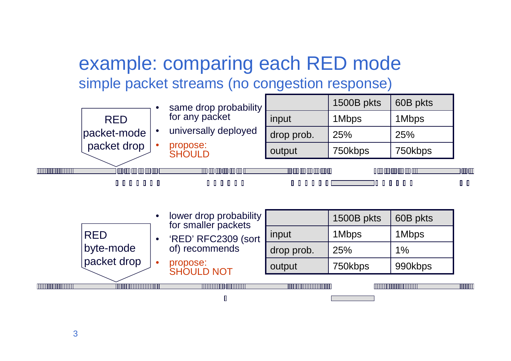## example: comparing each RED modesimple packet streams (no congestion response)

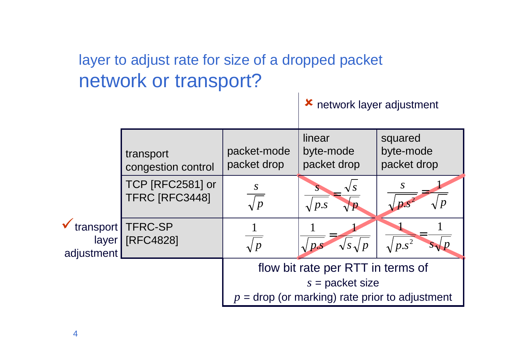### layer to adjust rate for size of a dropped packetnetwork or transport?

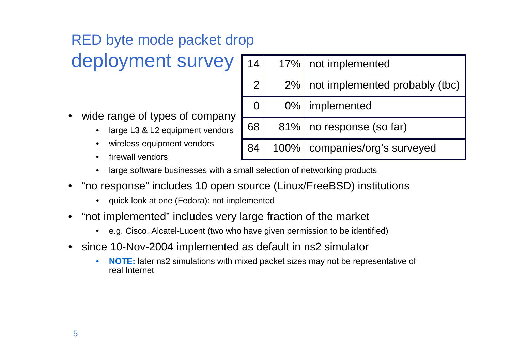## RED byte mode packet drop

## deployment survey

- • wide range of types of company
	- large L3 & L2 equipment vendors•
	- •wireless equipment vendors
	- •firewall vendors

| 14             |      | 17%   not implemented          |
|----------------|------|--------------------------------|
| $\overline{2}$ | 2%   | not implemented probably (tbc) |
| 0              |      | 0%   implemented               |
| 68             |      | 81%   no response (so far)     |
| 84             | 100% | companies/org's surveyed       |

- •large software businesses with a small selection of networking products
- • "no response" includes 10 open source (Linux/FreeBSD) institutions
	- quick look at one (Fedora): not implemented
- • "not implemented" includes very large fraction of the market
	- e.g. Cisco, Alcatel-Lucent (two who have given permission to be identified)
- • since 10-Nov-2004 implemented as default in ns2 simulator
	- • **NOTE:** later ns2 simulations with mixed packet sizes may not be representative of real Internet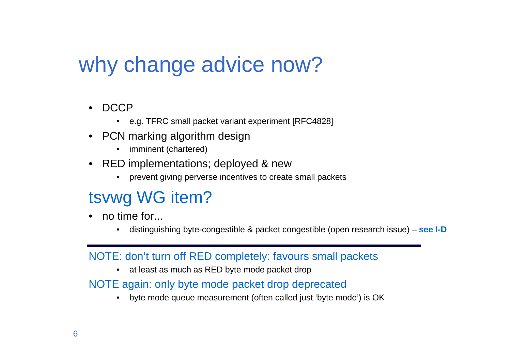# why change advice now?

- •DCCP
	- e.g. TFRC small packet variant experiment [RFC4828]
- PCN marking algorithm design
	- imminent (chartered)
- • RED implementations; deployed & new
	- $\bullet$ prevent giving perverse incentives to create small packets

### tsvwg WG item?

- no time for...
	- •distinguishing byte-congestible & packet congestible (open research issue) – **see I-D**

#### NOTE: don't turn off RED completely: favours small packets

 $\bullet$ at least as much as RED byte mode packet drop

#### NOTE again: only byte mode packet drop deprecated

 byte mode queue measurement (often called just 'byte mode') is OK $\bullet$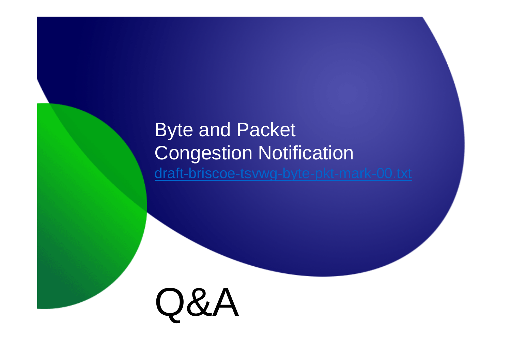## Byte and Packet Congestion Notificationdraft-briscoe-tsvwg-byte-pkt-mark-00.txt